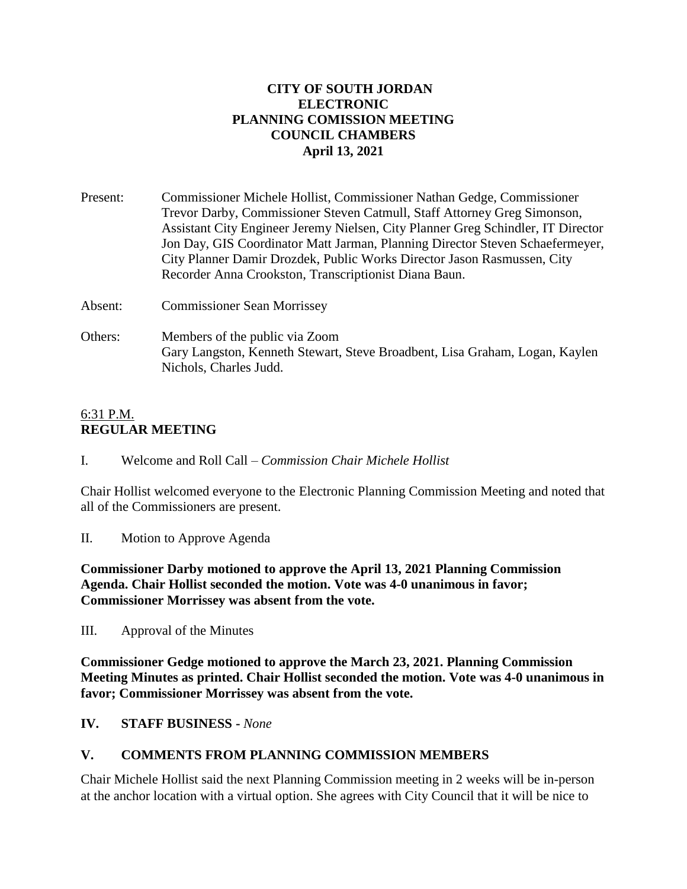### **CITY OF SOUTH JORDAN ELECTRONIC PLANNING COMISSION MEETING COUNCIL CHAMBERS April 13, 2021**

| Present: | Commissioner Michele Hollist, Commissioner Nathan Gedge, Commissioner                                                                                             |
|----------|-------------------------------------------------------------------------------------------------------------------------------------------------------------------|
|          | Trevor Darby, Commissioner Steven Catmull, Staff Attorney Greg Simonson,                                                                                          |
|          | Assistant City Engineer Jeremy Nielsen, City Planner Greg Schindler, IT Director<br>Jon Day, GIS Coordinator Matt Jarman, Planning Director Steven Schaefermeyer, |
|          | City Planner Damir Drozdek, Public Works Director Jason Rasmussen, City                                                                                           |
|          | Recorder Anna Crookston, Transcriptionist Diana Baun.                                                                                                             |
| Absent:  | <b>Commissioner Sean Morrissey</b>                                                                                                                                |

Others: Members of the public via Zoom Gary Langston, Kenneth Stewart, Steve Broadbent, Lisa Graham, Logan, Kaylen Nichols, Charles Judd.

### 6:31 P.M. **REGULAR MEETING**

I. Welcome and Roll Call – *Commission Chair Michele Hollist*

Chair Hollist welcomed everyone to the Electronic Planning Commission Meeting and noted that all of the Commissioners are present.

II. Motion to Approve Agenda

**Commissioner Darby motioned to approve the April 13, 2021 Planning Commission Agenda. Chair Hollist seconded the motion. Vote was 4-0 unanimous in favor; Commissioner Morrissey was absent from the vote.**

III. Approval of the Minutes

**Commissioner Gedge motioned to approve the March 23, 2021. Planning Commission Meeting Minutes as printed. Chair Hollist seconded the motion. Vote was 4-0 unanimous in favor; Commissioner Morrissey was absent from the vote.**

# **IV. STAFF BUSINESS -** *None*

# **V. COMMENTS FROM PLANNING COMMISSION MEMBERS**

Chair Michele Hollist said the next Planning Commission meeting in 2 weeks will be in-person at the anchor location with a virtual option. She agrees with City Council that it will be nice to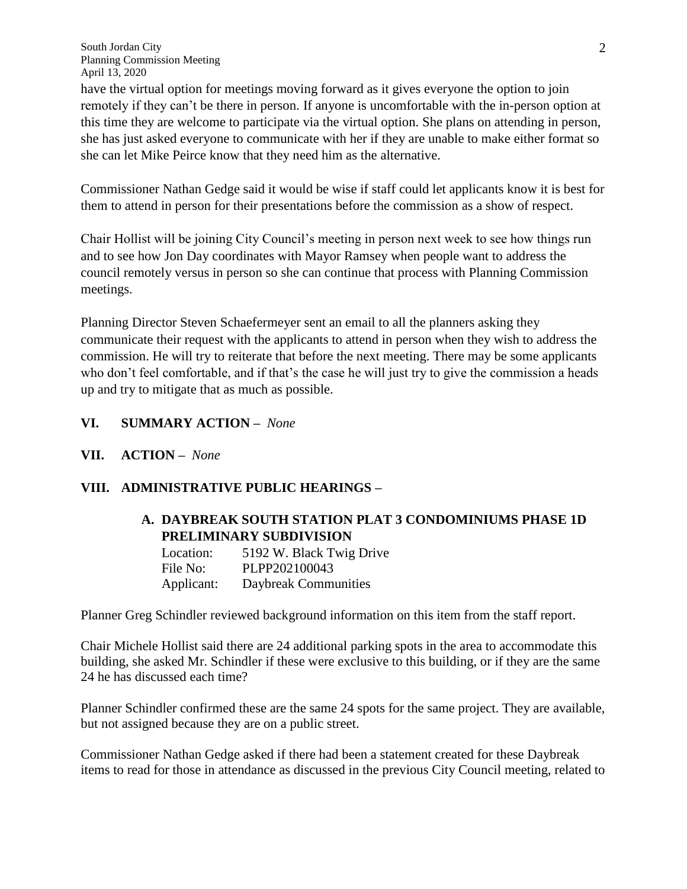have the virtual option for meetings moving forward as it gives everyone the option to join remotely if they can't be there in person. If anyone is uncomfortable with the in-person option at this time they are welcome to participate via the virtual option. She plans on attending in person, she has just asked everyone to communicate with her if they are unable to make either format so she can let Mike Peirce know that they need him as the alternative.

Commissioner Nathan Gedge said it would be wise if staff could let applicants know it is best for them to attend in person for their presentations before the commission as a show of respect.

Chair Hollist will be joining City Council's meeting in person next week to see how things run and to see how Jon Day coordinates with Mayor Ramsey when people want to address the council remotely versus in person so she can continue that process with Planning Commission meetings.

Planning Director Steven Schaefermeyer sent an email to all the planners asking they communicate their request with the applicants to attend in person when they wish to address the commission. He will try to reiterate that before the next meeting. There may be some applicants who don't feel comfortable, and if that's the case he will just try to give the commission a heads up and try to mitigate that as much as possible.

- **VI. SUMMARY ACTION –** *None*
- **VII. ACTION –** *None*

# **VIII. ADMINISTRATIVE PUBLIC HEARINGS –**

# **A. DAYBREAK SOUTH STATION PLAT 3 CONDOMINIUMS PHASE 1D PRELIMINARY SUBDIVISION**

Location: 5192 W. Black Twig Drive File No: PLPP202100043 Applicant: Daybreak Communities

Planner Greg Schindler reviewed background information on this item from the staff report.

Chair Michele Hollist said there are 24 additional parking spots in the area to accommodate this building, she asked Mr. Schindler if these were exclusive to this building, or if they are the same 24 he has discussed each time?

Planner Schindler confirmed these are the same 24 spots for the same project. They are available, but not assigned because they are on a public street.

Commissioner Nathan Gedge asked if there had been a statement created for these Daybreak items to read for those in attendance as discussed in the previous City Council meeting, related to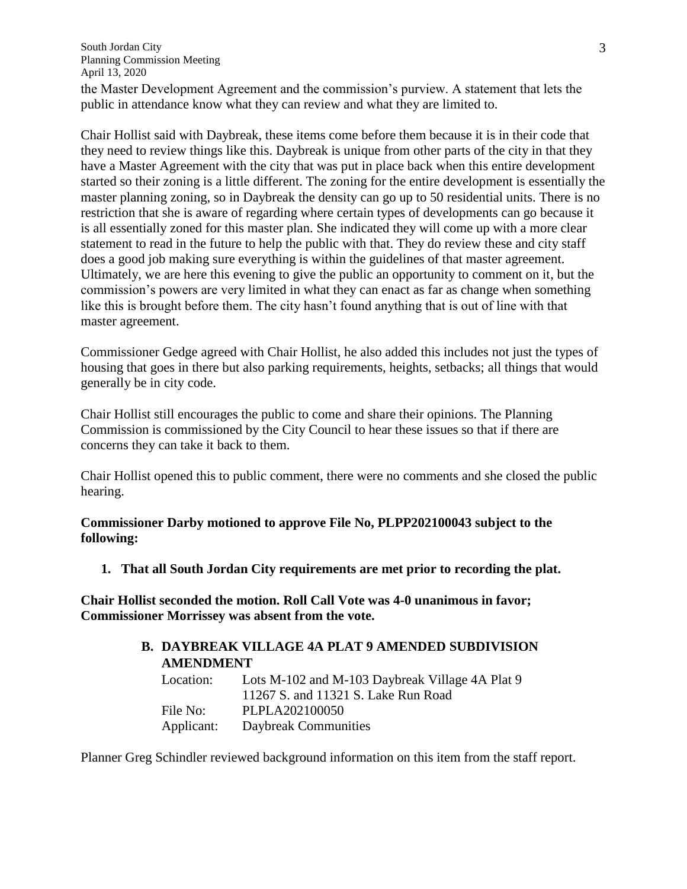the Master Development Agreement and the commission's purview. A statement that lets the public in attendance know what they can review and what they are limited to.

Chair Hollist said with Daybreak, these items come before them because it is in their code that they need to review things like this. Daybreak is unique from other parts of the city in that they have a Master Agreement with the city that was put in place back when this entire development started so their zoning is a little different. The zoning for the entire development is essentially the master planning zoning, so in Daybreak the density can go up to 50 residential units. There is no restriction that she is aware of regarding where certain types of developments can go because it is all essentially zoned for this master plan. She indicated they will come up with a more clear statement to read in the future to help the public with that. They do review these and city staff does a good job making sure everything is within the guidelines of that master agreement. Ultimately, we are here this evening to give the public an opportunity to comment on it, but the commission's powers are very limited in what they can enact as far as change when something like this is brought before them. The city hasn't found anything that is out of line with that master agreement.

Commissioner Gedge agreed with Chair Hollist, he also added this includes not just the types of housing that goes in there but also parking requirements, heights, setbacks; all things that would generally be in city code.

Chair Hollist still encourages the public to come and share their opinions. The Planning Commission is commissioned by the City Council to hear these issues so that if there are concerns they can take it back to them.

Chair Hollist opened this to public comment, there were no comments and she closed the public hearing.

**Commissioner Darby motioned to approve File No, PLPP202100043 subject to the following:**

**1. That all South Jordan City requirements are met prior to recording the plat.**

**Chair Hollist seconded the motion. Roll Call Vote was 4-0 unanimous in favor; Commissioner Morrissey was absent from the vote.**

|                  | <b>B. DAYBREAK VILLAGE 4A PLAT 9 AMENDED SUBDIVISION</b> |  |
|------------------|----------------------------------------------------------|--|
| <b>AMENDMENT</b> |                                                          |  |
| Location:        | Lots M-102 and M-103 Daybreak Village 4A Plat 9          |  |
|                  | 11267 S. and 11321 S. Lake Run Road                      |  |
| File No:         | PLPLA202100050                                           |  |
| Applicant:       | Daybreak Communities                                     |  |

Planner Greg Schindler reviewed background information on this item from the staff report.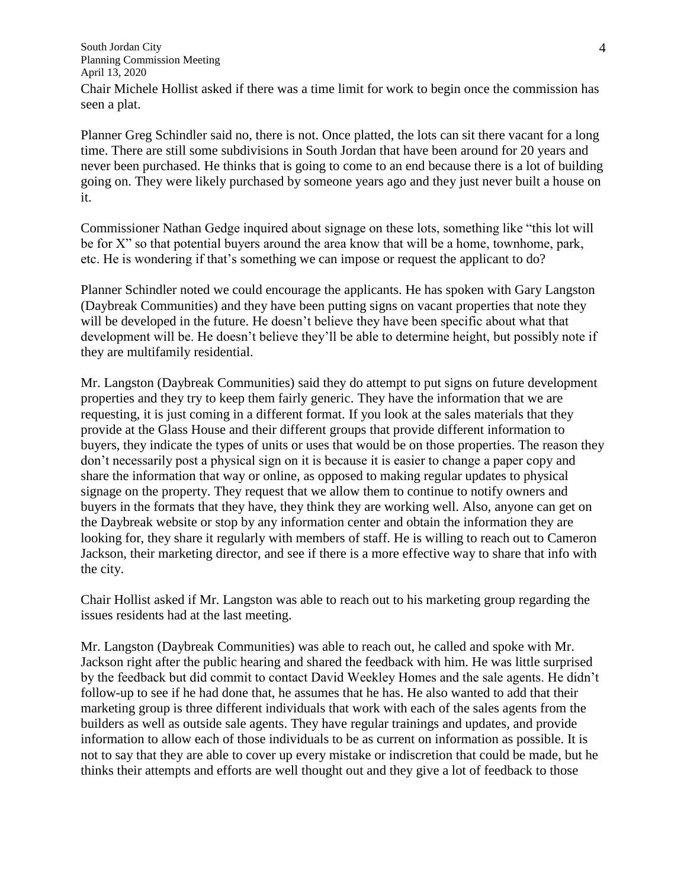Chair Michele Hollist asked if there was a time limit for work to begin once the commission has seen a plat.

Planner Greg Schindler said no, there is not. Once platted, the lots can sit there vacant for a long time. There are still some subdivisions in South Jordan that have been around for 20 years and never been purchased. He thinks that is going to come to an end because there is a lot of building going on. They were likely purchased by someone years ago and they just never built a house on it.

Commissioner Nathan Gedge inquired about signage on these lots, something like "this lot will be for X" so that potential buyers around the area know that will be a home, townhome, park, etc. He is wondering if that's something we can impose or request the applicant to do?

Planner Schindler noted we could encourage the applicants. He has spoken with Gary Langston (Daybreak Communities) and they have been putting signs on vacant properties that note they will be developed in the future. He doesn't believe they have been specific about what that development will be. He doesn't believe they'll be able to determine height, but possibly note if they are multifamily residential.

Mr. Langston (Daybreak Communities) said they do attempt to put signs on future development properties and they try to keep them fairly generic. They have the information that we are requesting, it is just coming in a different format. If you look at the sales materials that they provide at the Glass House and their different groups that provide different information to buyers, they indicate the types of units or uses that would be on those properties. The reason they don't necessarily post a physical sign on it is because it is easier to change a paper copy and share the information that way or online, as opposed to making regular updates to physical signage on the property. They request that we allow them to continue to notify owners and buyers in the formats that they have, they think they are working well. Also, anyone can get on the Daybreak website or stop by any information center and obtain the information they are looking for, they share it regularly with members of staff. He is willing to reach out to Cameron Jackson, their marketing director, and see if there is a more effective way to share that info with the city.

Chair Hollist asked if Mr. Langston was able to reach out to his marketing group regarding the issues residents had at the last meeting.

Mr. Langston (Daybreak Communities) was able to reach out, he called and spoke with Mr. Jackson right after the public hearing and shared the feedback with him. He was little surprised by the feedback but did commit to contact David Weekley Homes and the sale agents. He didn't follow-up to see if he had done that, he assumes that he has. He also wanted to add that their marketing group is three different individuals that work with each of the sales agents from the builders as well as outside sale agents. They have regular trainings and updates, and provide information to allow each of those individuals to be as current on information as possible. It is not to say that they are able to cover up every mistake or indiscretion that could be made, but he thinks their attempts and efforts are well thought out and they give a lot of feedback to those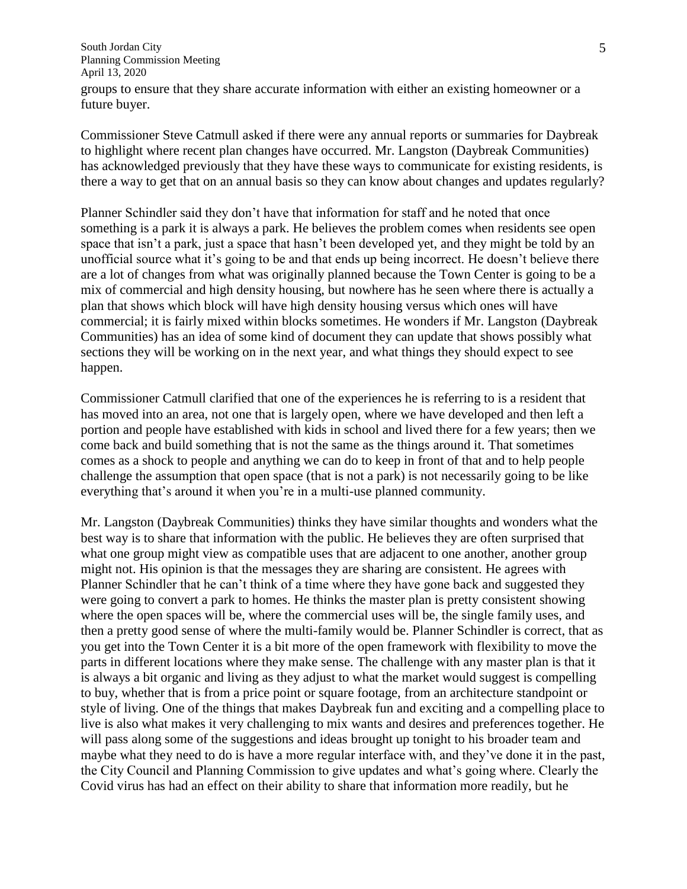groups to ensure that they share accurate information with either an existing homeowner or a future buyer.

Commissioner Steve Catmull asked if there were any annual reports or summaries for Daybreak to highlight where recent plan changes have occurred. Mr. Langston (Daybreak Communities) has acknowledged previously that they have these ways to communicate for existing residents, is there a way to get that on an annual basis so they can know about changes and updates regularly?

Planner Schindler said they don't have that information for staff and he noted that once something is a park it is always a park. He believes the problem comes when residents see open space that isn't a park, just a space that hasn't been developed yet, and they might be told by an unofficial source what it's going to be and that ends up being incorrect. He doesn't believe there are a lot of changes from what was originally planned because the Town Center is going to be a mix of commercial and high density housing, but nowhere has he seen where there is actually a plan that shows which block will have high density housing versus which ones will have commercial; it is fairly mixed within blocks sometimes. He wonders if Mr. Langston (Daybreak Communities) has an idea of some kind of document they can update that shows possibly what sections they will be working on in the next year, and what things they should expect to see happen.

Commissioner Catmull clarified that one of the experiences he is referring to is a resident that has moved into an area, not one that is largely open, where we have developed and then left a portion and people have established with kids in school and lived there for a few years; then we come back and build something that is not the same as the things around it. That sometimes comes as a shock to people and anything we can do to keep in front of that and to help people challenge the assumption that open space (that is not a park) is not necessarily going to be like everything that's around it when you're in a multi-use planned community.

Mr. Langston (Daybreak Communities) thinks they have similar thoughts and wonders what the best way is to share that information with the public. He believes they are often surprised that what one group might view as compatible uses that are adjacent to one another, another group might not. His opinion is that the messages they are sharing are consistent. He agrees with Planner Schindler that he can't think of a time where they have gone back and suggested they were going to convert a park to homes. He thinks the master plan is pretty consistent showing where the open spaces will be, where the commercial uses will be, the single family uses, and then a pretty good sense of where the multi-family would be. Planner Schindler is correct, that as you get into the Town Center it is a bit more of the open framework with flexibility to move the parts in different locations where they make sense. The challenge with any master plan is that it is always a bit organic and living as they adjust to what the market would suggest is compelling to buy, whether that is from a price point or square footage, from an architecture standpoint or style of living. One of the things that makes Daybreak fun and exciting and a compelling place to live is also what makes it very challenging to mix wants and desires and preferences together. He will pass along some of the suggestions and ideas brought up tonight to his broader team and maybe what they need to do is have a more regular interface with, and they've done it in the past, the City Council and Planning Commission to give updates and what's going where. Clearly the Covid virus has had an effect on their ability to share that information more readily, but he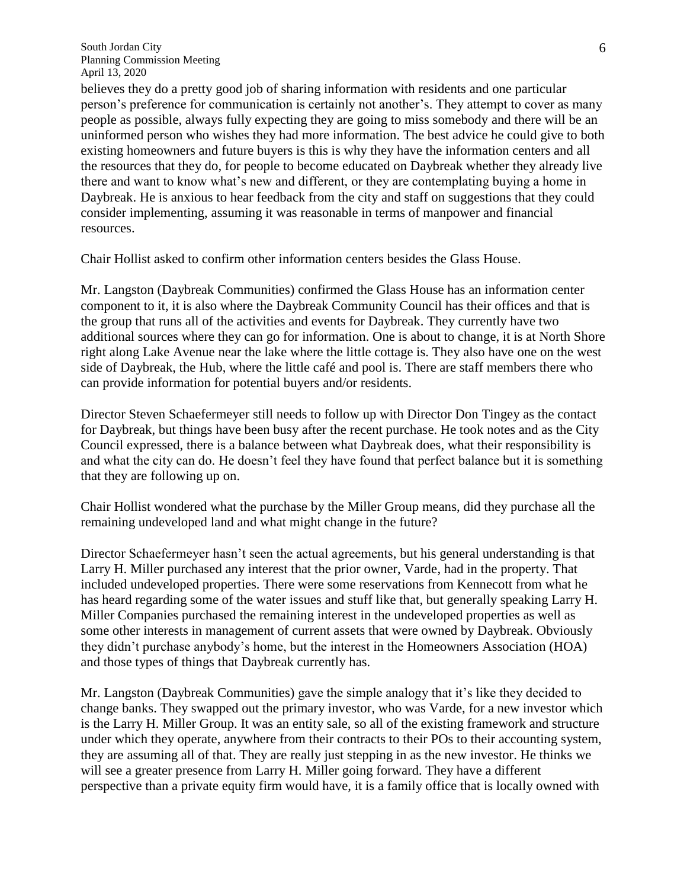believes they do a pretty good job of sharing information with residents and one particular person's preference for communication is certainly not another's. They attempt to cover as many people as possible, always fully expecting they are going to miss somebody and there will be an uninformed person who wishes they had more information. The best advice he could give to both existing homeowners and future buyers is this is why they have the information centers and all the resources that they do, for people to become educated on Daybreak whether they already live there and want to know what's new and different, or they are contemplating buying a home in Daybreak. He is anxious to hear feedback from the city and staff on suggestions that they could consider implementing, assuming it was reasonable in terms of manpower and financial resources.

Chair Hollist asked to confirm other information centers besides the Glass House.

Mr. Langston (Daybreak Communities) confirmed the Glass House has an information center component to it, it is also where the Daybreak Community Council has their offices and that is the group that runs all of the activities and events for Daybreak. They currently have two additional sources where they can go for information. One is about to change, it is at North Shore right along Lake Avenue near the lake where the little cottage is. They also have one on the west side of Daybreak, the Hub, where the little café and pool is. There are staff members there who can provide information for potential buyers and/or residents.

Director Steven Schaefermeyer still needs to follow up with Director Don Tingey as the contact for Daybreak, but things have been busy after the recent purchase. He took notes and as the City Council expressed, there is a balance between what Daybreak does, what their responsibility is and what the city can do. He doesn't feel they have found that perfect balance but it is something that they are following up on.

Chair Hollist wondered what the purchase by the Miller Group means, did they purchase all the remaining undeveloped land and what might change in the future?

Director Schaefermeyer hasn't seen the actual agreements, but his general understanding is that Larry H. Miller purchased any interest that the prior owner, Varde, had in the property. That included undeveloped properties. There were some reservations from Kennecott from what he has heard regarding some of the water issues and stuff like that, but generally speaking Larry H. Miller Companies purchased the remaining interest in the undeveloped properties as well as some other interests in management of current assets that were owned by Daybreak. Obviously they didn't purchase anybody's home, but the interest in the Homeowners Association (HOA) and those types of things that Daybreak currently has.

Mr. Langston (Daybreak Communities) gave the simple analogy that it's like they decided to change banks. They swapped out the primary investor, who was Varde, for a new investor which is the Larry H. Miller Group. It was an entity sale, so all of the existing framework and structure under which they operate, anywhere from their contracts to their POs to their accounting system, they are assuming all of that. They are really just stepping in as the new investor. He thinks we will see a greater presence from Larry H. Miller going forward. They have a different perspective than a private equity firm would have, it is a family office that is locally owned with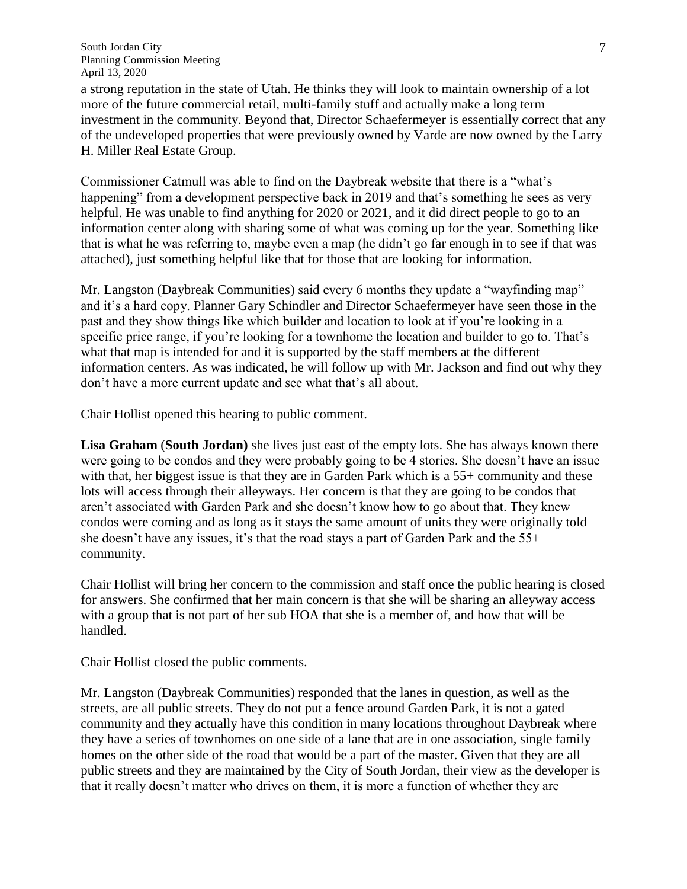a strong reputation in the state of Utah. He thinks they will look to maintain ownership of a lot more of the future commercial retail, multi-family stuff and actually make a long term investment in the community. Beyond that, Director Schaefermeyer is essentially correct that any of the undeveloped properties that were previously owned by Varde are now owned by the Larry H. Miller Real Estate Group.

Commissioner Catmull was able to find on the Daybreak website that there is a "what's happening" from a development perspective back in 2019 and that's something he sees as very helpful. He was unable to find anything for 2020 or 2021, and it did direct people to go to an information center along with sharing some of what was coming up for the year. Something like that is what he was referring to, maybe even a map (he didn't go far enough in to see if that was attached), just something helpful like that for those that are looking for information.

Mr. Langston (Daybreak Communities) said every 6 months they update a "wayfinding map" and it's a hard copy. Planner Gary Schindler and Director Schaefermeyer have seen those in the past and they show things like which builder and location to look at if you're looking in a specific price range, if you're looking for a townhome the location and builder to go to. That's what that map is intended for and it is supported by the staff members at the different information centers. As was indicated, he will follow up with Mr. Jackson and find out why they don't have a more current update and see what that's all about.

Chair Hollist opened this hearing to public comment.

**Lisa Graham** (**South Jordan)** she lives just east of the empty lots. She has always known there were going to be condos and they were probably going to be 4 stories. She doesn't have an issue with that, her biggest issue is that they are in Garden Park which is a 55+ community and these lots will access through their alleyways. Her concern is that they are going to be condos that aren't associated with Garden Park and she doesn't know how to go about that. They knew condos were coming and as long as it stays the same amount of units they were originally told she doesn't have any issues, it's that the road stays a part of Garden Park and the 55+ community.

Chair Hollist will bring her concern to the commission and staff once the public hearing is closed for answers. She confirmed that her main concern is that she will be sharing an alleyway access with a group that is not part of her sub HOA that she is a member of, and how that will be handled.

Chair Hollist closed the public comments.

Mr. Langston (Daybreak Communities) responded that the lanes in question, as well as the streets, are all public streets. They do not put a fence around Garden Park, it is not a gated community and they actually have this condition in many locations throughout Daybreak where they have a series of townhomes on one side of a lane that are in one association, single family homes on the other side of the road that would be a part of the master. Given that they are all public streets and they are maintained by the City of South Jordan, their view as the developer is that it really doesn't matter who drives on them, it is more a function of whether they are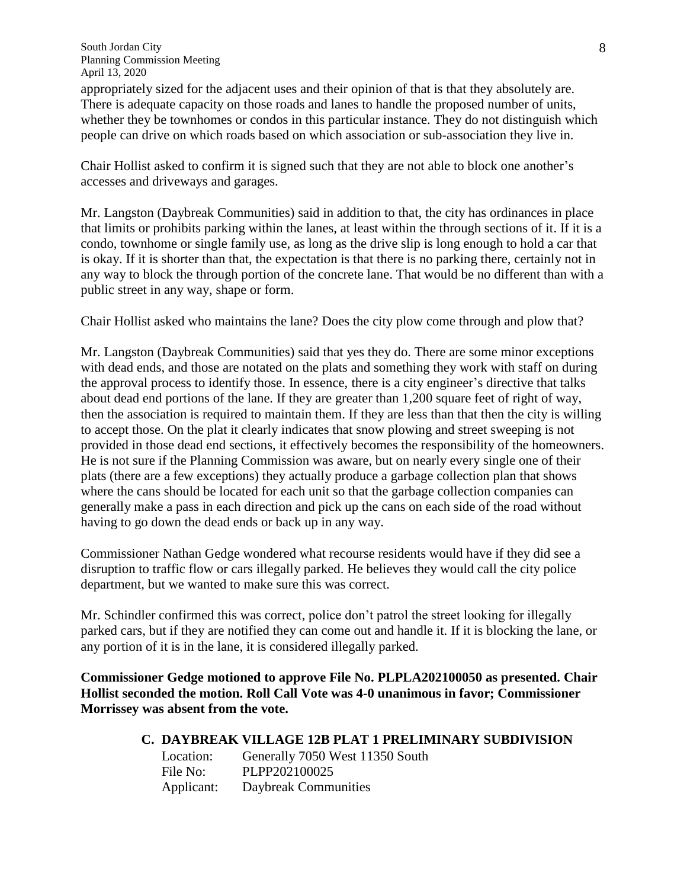appropriately sized for the adjacent uses and their opinion of that is that they absolutely are. There is adequate capacity on those roads and lanes to handle the proposed number of units, whether they be townhomes or condos in this particular instance. They do not distinguish which people can drive on which roads based on which association or sub-association they live in.

Chair Hollist asked to confirm it is signed such that they are not able to block one another's accesses and driveways and garages.

Mr. Langston (Daybreak Communities) said in addition to that, the city has ordinances in place that limits or prohibits parking within the lanes, at least within the through sections of it. If it is a condo, townhome or single family use, as long as the drive slip is long enough to hold a car that is okay. If it is shorter than that, the expectation is that there is no parking there, certainly not in any way to block the through portion of the concrete lane. That would be no different than with a public street in any way, shape or form.

Chair Hollist asked who maintains the lane? Does the city plow come through and plow that?

Mr. Langston (Daybreak Communities) said that yes they do. There are some minor exceptions with dead ends, and those are notated on the plats and something they work with staff on during the approval process to identify those. In essence, there is a city engineer's directive that talks about dead end portions of the lane. If they are greater than 1,200 square feet of right of way, then the association is required to maintain them. If they are less than that then the city is willing to accept those. On the plat it clearly indicates that snow plowing and street sweeping is not provided in those dead end sections, it effectively becomes the responsibility of the homeowners. He is not sure if the Planning Commission was aware, but on nearly every single one of their plats (there are a few exceptions) they actually produce a garbage collection plan that shows where the cans should be located for each unit so that the garbage collection companies can generally make a pass in each direction and pick up the cans on each side of the road without having to go down the dead ends or back up in any way.

Commissioner Nathan Gedge wondered what recourse residents would have if they did see a disruption to traffic flow or cars illegally parked. He believes they would call the city police department, but we wanted to make sure this was correct.

Mr. Schindler confirmed this was correct, police don't patrol the street looking for illegally parked cars, but if they are notified they can come out and handle it. If it is blocking the lane, or any portion of it is in the lane, it is considered illegally parked.

**Commissioner Gedge motioned to approve File No. PLPLA202100050 as presented. Chair Hollist seconded the motion. Roll Call Vote was 4-0 unanimous in favor; Commissioner Morrissey was absent from the vote.**

# **C. DAYBREAK VILLAGE 12B PLAT 1 PRELIMINARY SUBDIVISION**

Location: Generally 7050 West 11350 South File No: PLPP202100025 Applicant: Daybreak Communities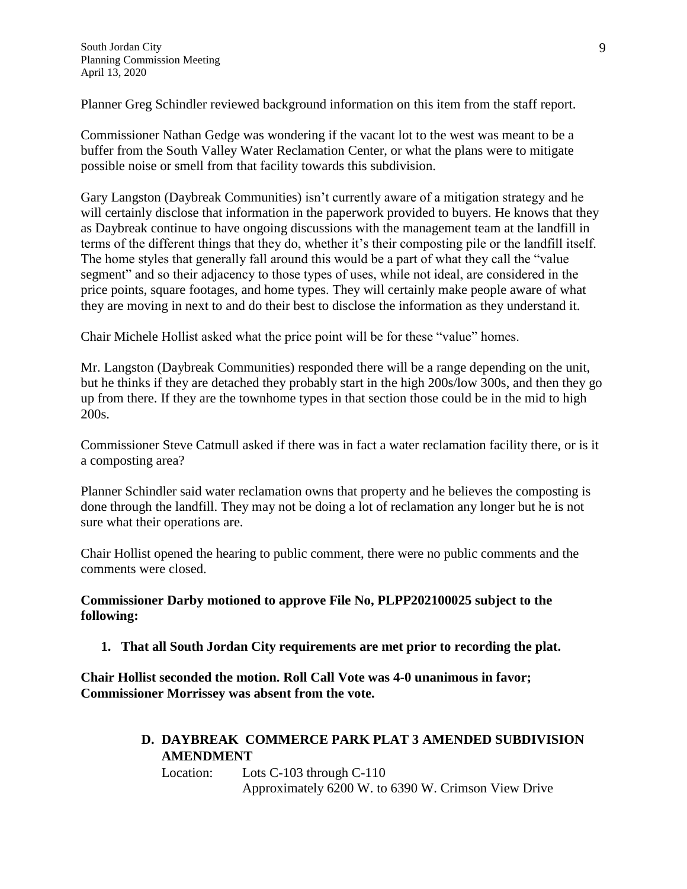Planner Greg Schindler reviewed background information on this item from the staff report.

Commissioner Nathan Gedge was wondering if the vacant lot to the west was meant to be a buffer from the South Valley Water Reclamation Center, or what the plans were to mitigate possible noise or smell from that facility towards this subdivision.

Gary Langston (Daybreak Communities) isn't currently aware of a mitigation strategy and he will certainly disclose that information in the paperwork provided to buyers. He knows that they as Daybreak continue to have ongoing discussions with the management team at the landfill in terms of the different things that they do, whether it's their composting pile or the landfill itself. The home styles that generally fall around this would be a part of what they call the "value segment" and so their adjacency to those types of uses, while not ideal, are considered in the price points, square footages, and home types. They will certainly make people aware of what they are moving in next to and do their best to disclose the information as they understand it.

Chair Michele Hollist asked what the price point will be for these "value" homes.

Mr. Langston (Daybreak Communities) responded there will be a range depending on the unit, but he thinks if they are detached they probably start in the high 200s/low 300s, and then they go up from there. If they are the townhome types in that section those could be in the mid to high 200s.

Commissioner Steve Catmull asked if there was in fact a water reclamation facility there, or is it a composting area?

Planner Schindler said water reclamation owns that property and he believes the composting is done through the landfill. They may not be doing a lot of reclamation any longer but he is not sure what their operations are.

Chair Hollist opened the hearing to public comment, there were no public comments and the comments were closed.

**Commissioner Darby motioned to approve File No, PLPP202100025 subject to the following:**

**1. That all South Jordan City requirements are met prior to recording the plat.**

**Chair Hollist seconded the motion. Roll Call Vote was 4-0 unanimous in favor; Commissioner Morrissey was absent from the vote.**

> **D. DAYBREAK COMMERCE PARK PLAT 3 AMENDED SUBDIVISION AMENDMENT**

Location: Lots C-103 through C-110 Approximately 6200 W. to 6390 W. Crimson View Drive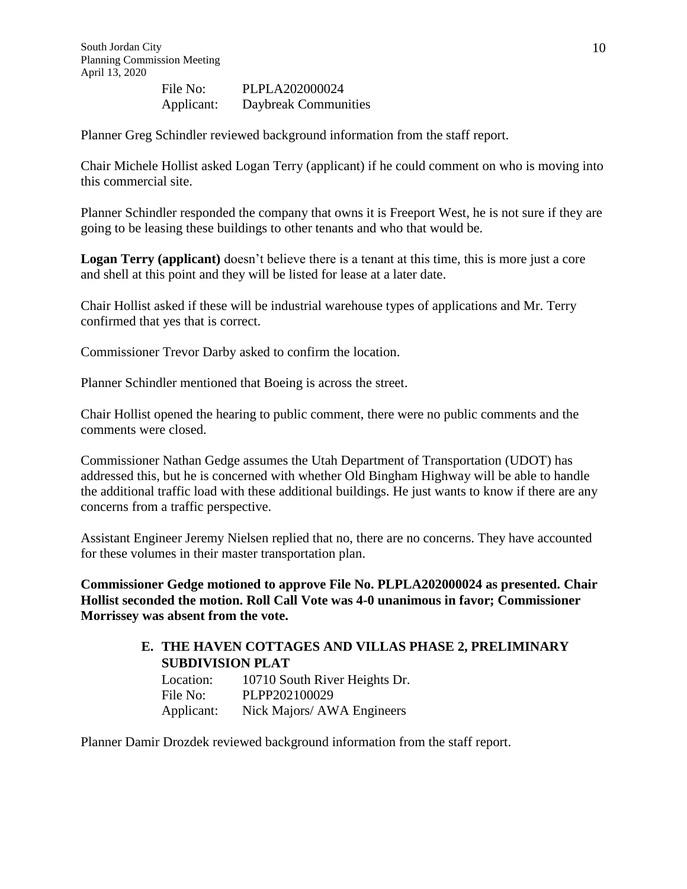File No: PLPLA202000024 Applicant: Daybreak Communities

Planner Greg Schindler reviewed background information from the staff report.

Chair Michele Hollist asked Logan Terry (applicant) if he could comment on who is moving into this commercial site.

Planner Schindler responded the company that owns it is Freeport West, he is not sure if they are going to be leasing these buildings to other tenants and who that would be.

Logan Terry (applicant) doesn't believe there is a tenant at this time, this is more just a core and shell at this point and they will be listed for lease at a later date.

Chair Hollist asked if these will be industrial warehouse types of applications and Mr. Terry confirmed that yes that is correct.

Commissioner Trevor Darby asked to confirm the location.

Planner Schindler mentioned that Boeing is across the street.

Chair Hollist opened the hearing to public comment, there were no public comments and the comments were closed.

Commissioner Nathan Gedge assumes the Utah Department of Transportation (UDOT) has addressed this, but he is concerned with whether Old Bingham Highway will be able to handle the additional traffic load with these additional buildings. He just wants to know if there are any concerns from a traffic perspective.

Assistant Engineer Jeremy Nielsen replied that no, there are no concerns. They have accounted for these volumes in their master transportation plan.

**Commissioner Gedge motioned to approve File No. PLPLA202000024 as presented. Chair Hollist seconded the motion. Roll Call Vote was 4-0 unanimous in favor; Commissioner Morrissey was absent from the vote.**

### **E. THE HAVEN COTTAGES AND VILLAS PHASE 2, PRELIMINARY SUBDIVISION PLAT**

| Location:  | 10710 South River Heights Dr. |
|------------|-------------------------------|
| File No:   | PLPP202100029                 |
| Applicant: | Nick Majors/ AWA Engineers    |

Planner Damir Drozdek reviewed background information from the staff report.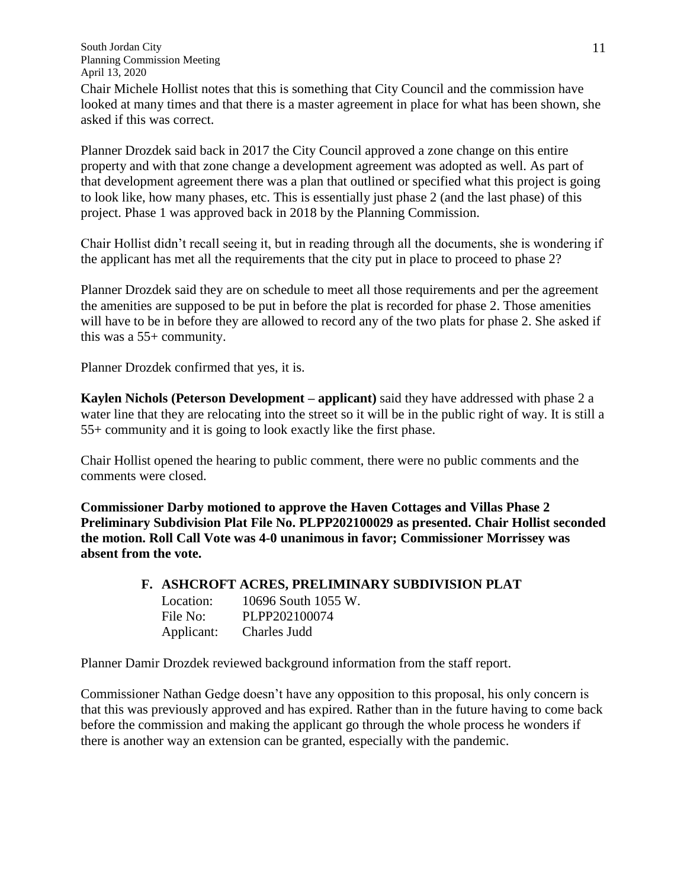Chair Michele Hollist notes that this is something that City Council and the commission have looked at many times and that there is a master agreement in place for what has been shown, she asked if this was correct.

Planner Drozdek said back in 2017 the City Council approved a zone change on this entire property and with that zone change a development agreement was adopted as well. As part of that development agreement there was a plan that outlined or specified what this project is going to look like, how many phases, etc. This is essentially just phase 2 (and the last phase) of this project. Phase 1 was approved back in 2018 by the Planning Commission.

Chair Hollist didn't recall seeing it, but in reading through all the documents, she is wondering if the applicant has met all the requirements that the city put in place to proceed to phase 2?

Planner Drozdek said they are on schedule to meet all those requirements and per the agreement the amenities are supposed to be put in before the plat is recorded for phase 2. Those amenities will have to be in before they are allowed to record any of the two plats for phase 2. She asked if this was a 55+ community.

Planner Drozdek confirmed that yes, it is.

**Kaylen Nichols (Peterson Development – applicant)** said they have addressed with phase 2 a water line that they are relocating into the street so it will be in the public right of way. It is still a 55+ community and it is going to look exactly like the first phase.

Chair Hollist opened the hearing to public comment, there were no public comments and the comments were closed.

**Commissioner Darby motioned to approve the Haven Cottages and Villas Phase 2 Preliminary Subdivision Plat File No. PLPP202100029 as presented. Chair Hollist seconded the motion. Roll Call Vote was 4-0 unanimous in favor; Commissioner Morrissey was absent from the vote.**

#### **F. ASHCROFT ACRES, PRELIMINARY SUBDIVISION PLAT**

Location: 10696 South 1055 W. File No: PLPP202100074 Applicant: Charles Judd

Planner Damir Drozdek reviewed background information from the staff report.

Commissioner Nathan Gedge doesn't have any opposition to this proposal, his only concern is that this was previously approved and has expired. Rather than in the future having to come back before the commission and making the applicant go through the whole process he wonders if there is another way an extension can be granted, especially with the pandemic.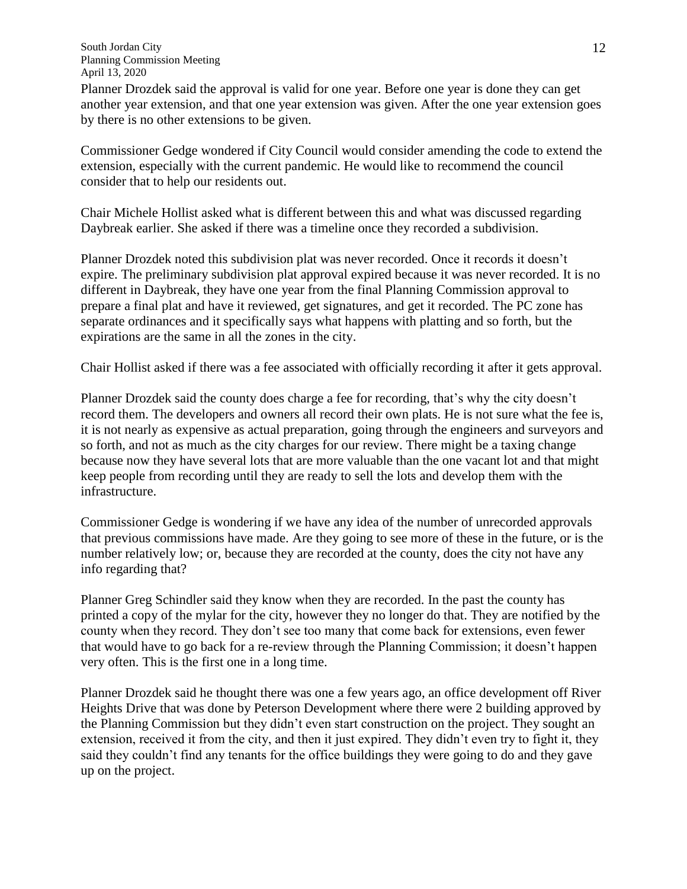Planner Drozdek said the approval is valid for one year. Before one year is done they can get another year extension, and that one year extension was given. After the one year extension goes by there is no other extensions to be given.

Commissioner Gedge wondered if City Council would consider amending the code to extend the extension, especially with the current pandemic. He would like to recommend the council consider that to help our residents out.

Chair Michele Hollist asked what is different between this and what was discussed regarding Daybreak earlier. She asked if there was a timeline once they recorded a subdivision.

Planner Drozdek noted this subdivision plat was never recorded. Once it records it doesn't expire. The preliminary subdivision plat approval expired because it was never recorded. It is no different in Daybreak, they have one year from the final Planning Commission approval to prepare a final plat and have it reviewed, get signatures, and get it recorded. The PC zone has separate ordinances and it specifically says what happens with platting and so forth, but the expirations are the same in all the zones in the city.

Chair Hollist asked if there was a fee associated with officially recording it after it gets approval.

Planner Drozdek said the county does charge a fee for recording, that's why the city doesn't record them. The developers and owners all record their own plats. He is not sure what the fee is, it is not nearly as expensive as actual preparation, going through the engineers and surveyors and so forth, and not as much as the city charges for our review. There might be a taxing change because now they have several lots that are more valuable than the one vacant lot and that might keep people from recording until they are ready to sell the lots and develop them with the infrastructure.

Commissioner Gedge is wondering if we have any idea of the number of unrecorded approvals that previous commissions have made. Are they going to see more of these in the future, or is the number relatively low; or, because they are recorded at the county, does the city not have any info regarding that?

Planner Greg Schindler said they know when they are recorded. In the past the county has printed a copy of the mylar for the city, however they no longer do that. They are notified by the county when they record. They don't see too many that come back for extensions, even fewer that would have to go back for a re-review through the Planning Commission; it doesn't happen very often. This is the first one in a long time.

Planner Drozdek said he thought there was one a few years ago, an office development off River Heights Drive that was done by Peterson Development where there were 2 building approved by the Planning Commission but they didn't even start construction on the project. They sought an extension, received it from the city, and then it just expired. They didn't even try to fight it, they said they couldn't find any tenants for the office buildings they were going to do and they gave up on the project.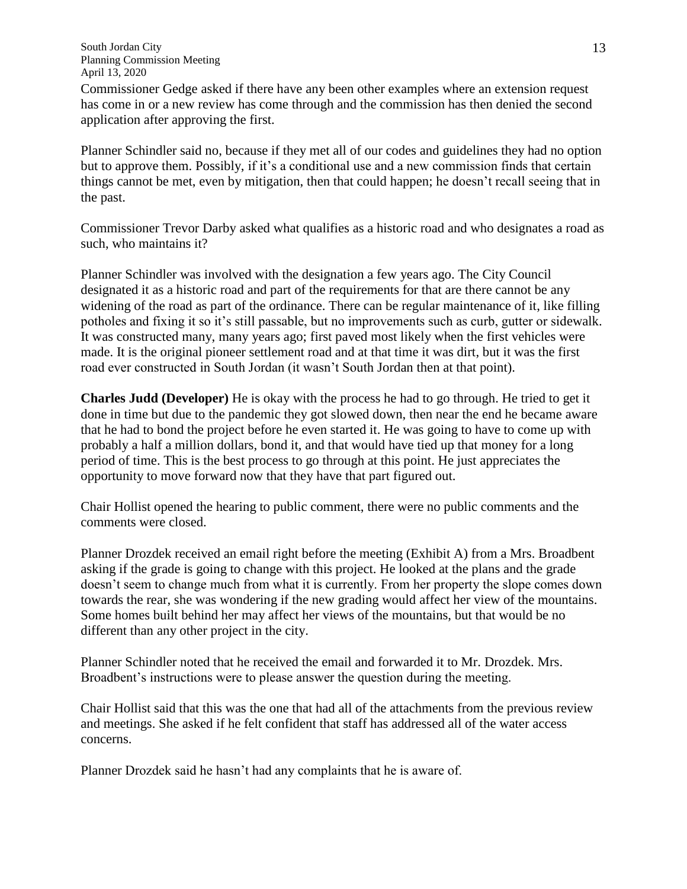Commissioner Gedge asked if there have any been other examples where an extension request has come in or a new review has come through and the commission has then denied the second application after approving the first.

Planner Schindler said no, because if they met all of our codes and guidelines they had no option but to approve them. Possibly, if it's a conditional use and a new commission finds that certain things cannot be met, even by mitigation, then that could happen; he doesn't recall seeing that in the past.

Commissioner Trevor Darby asked what qualifies as a historic road and who designates a road as such, who maintains it?

Planner Schindler was involved with the designation a few years ago. The City Council designated it as a historic road and part of the requirements for that are there cannot be any widening of the road as part of the ordinance. There can be regular maintenance of it, like filling potholes and fixing it so it's still passable, but no improvements such as curb, gutter or sidewalk. It was constructed many, many years ago; first paved most likely when the first vehicles were made. It is the original pioneer settlement road and at that time it was dirt, but it was the first road ever constructed in South Jordan (it wasn't South Jordan then at that point).

**Charles Judd (Developer)** He is okay with the process he had to go through. He tried to get it done in time but due to the pandemic they got slowed down, then near the end he became aware that he had to bond the project before he even started it. He was going to have to come up with probably a half a million dollars, bond it, and that would have tied up that money for a long period of time. This is the best process to go through at this point. He just appreciates the opportunity to move forward now that they have that part figured out.

Chair Hollist opened the hearing to public comment, there were no public comments and the comments were closed.

Planner Drozdek received an email right before the meeting (Exhibit A) from a Mrs. Broadbent asking if the grade is going to change with this project. He looked at the plans and the grade doesn't seem to change much from what it is currently. From her property the slope comes down towards the rear, she was wondering if the new grading would affect her view of the mountains. Some homes built behind her may affect her views of the mountains, but that would be no different than any other project in the city.

Planner Schindler noted that he received the email and forwarded it to Mr. Drozdek. Mrs. Broadbent's instructions were to please answer the question during the meeting.

Chair Hollist said that this was the one that had all of the attachments from the previous review and meetings. She asked if he felt confident that staff has addressed all of the water access concerns.

Planner Drozdek said he hasn't had any complaints that he is aware of.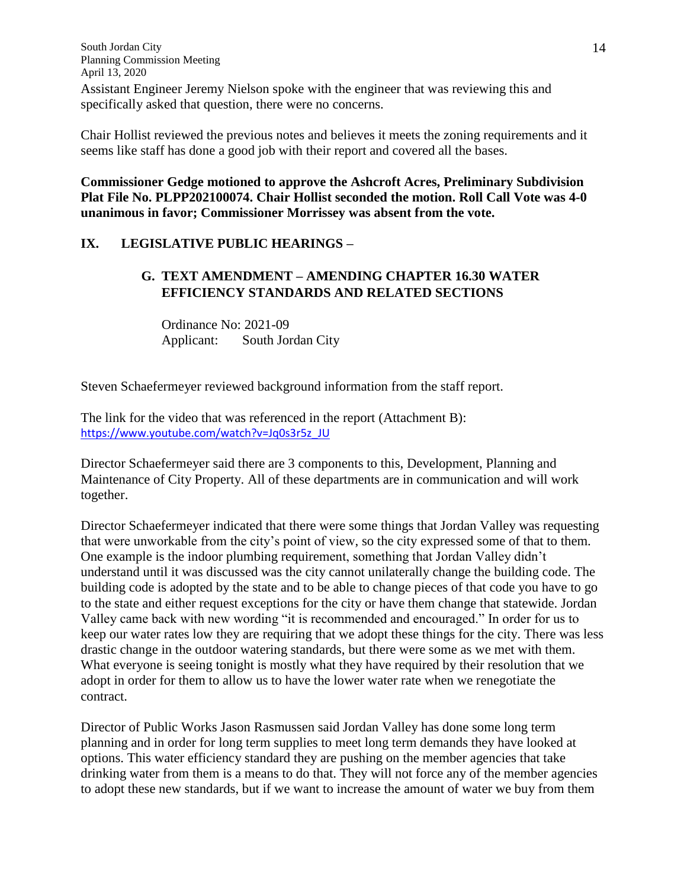Assistant Engineer Jeremy Nielson spoke with the engineer that was reviewing this and specifically asked that question, there were no concerns.

Chair Hollist reviewed the previous notes and believes it meets the zoning requirements and it seems like staff has done a good job with their report and covered all the bases.

**Commissioner Gedge motioned to approve the Ashcroft Acres, Preliminary Subdivision Plat File No. PLPP202100074. Chair Hollist seconded the motion. Roll Call Vote was 4-0 unanimous in favor; Commissioner Morrissey was absent from the vote.**

### **IX. LEGISLATIVE PUBLIC HEARINGS –**

# **G. TEXT AMENDMENT – AMENDING CHAPTER 16.30 WATER EFFICIENCY STANDARDS AND RELATED SECTIONS**

Ordinance No: 2021-09 Applicant: South Jordan City

Steven Schaefermeyer reviewed background information from the staff report.

The link for the video that was referenced in the report (Attachment B): [https://www.youtube.com/watch?v=Jq0s3r5z\\_JU](https://www.youtube.com/watch?v=Jq0s3r5z_JU)

Director Schaefermeyer said there are 3 components to this, Development, Planning and Maintenance of City Property. All of these departments are in communication and will work together.

Director Schaefermeyer indicated that there were some things that Jordan Valley was requesting that were unworkable from the city's point of view, so the city expressed some of that to them. One example is the indoor plumbing requirement, something that Jordan Valley didn't understand until it was discussed was the city cannot unilaterally change the building code. The building code is adopted by the state and to be able to change pieces of that code you have to go to the state and either request exceptions for the city or have them change that statewide. Jordan Valley came back with new wording "it is recommended and encouraged." In order for us to keep our water rates low they are requiring that we adopt these things for the city. There was less drastic change in the outdoor watering standards, but there were some as we met with them. What everyone is seeing tonight is mostly what they have required by their resolution that we adopt in order for them to allow us to have the lower water rate when we renegotiate the contract.

Director of Public Works Jason Rasmussen said Jordan Valley has done some long term planning and in order for long term supplies to meet long term demands they have looked at options. This water efficiency standard they are pushing on the member agencies that take drinking water from them is a means to do that. They will not force any of the member agencies to adopt these new standards, but if we want to increase the amount of water we buy from them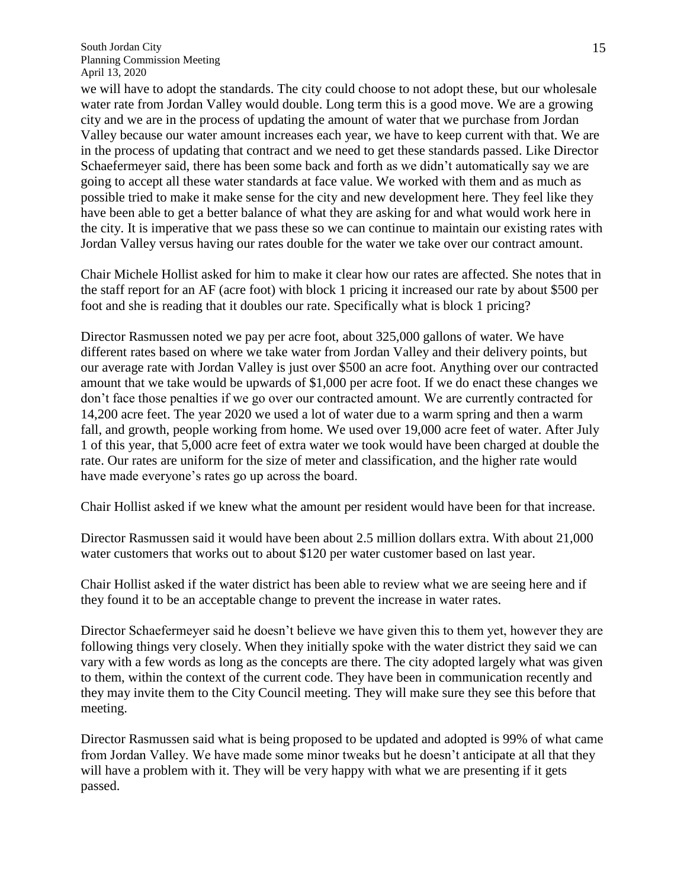we will have to adopt the standards. The city could choose to not adopt these, but our wholesale water rate from Jordan Valley would double. Long term this is a good move. We are a growing city and we are in the process of updating the amount of water that we purchase from Jordan Valley because our water amount increases each year, we have to keep current with that. We are in the process of updating that contract and we need to get these standards passed. Like Director Schaefermeyer said, there has been some back and forth as we didn't automatically say we are going to accept all these water standards at face value. We worked with them and as much as possible tried to make it make sense for the city and new development here. They feel like they have been able to get a better balance of what they are asking for and what would work here in the city. It is imperative that we pass these so we can continue to maintain our existing rates with Jordan Valley versus having our rates double for the water we take over our contract amount.

Chair Michele Hollist asked for him to make it clear how our rates are affected. She notes that in the staff report for an AF (acre foot) with block 1 pricing it increased our rate by about \$500 per foot and she is reading that it doubles our rate. Specifically what is block 1 pricing?

Director Rasmussen noted we pay per acre foot, about 325,000 gallons of water. We have different rates based on where we take water from Jordan Valley and their delivery points, but our average rate with Jordan Valley is just over \$500 an acre foot. Anything over our contracted amount that we take would be upwards of \$1,000 per acre foot. If we do enact these changes we don't face those penalties if we go over our contracted amount. We are currently contracted for 14,200 acre feet. The year 2020 we used a lot of water due to a warm spring and then a warm fall, and growth, people working from home. We used over 19,000 acre feet of water. After July 1 of this year, that 5,000 acre feet of extra water we took would have been charged at double the rate. Our rates are uniform for the size of meter and classification, and the higher rate would have made everyone's rates go up across the board.

Chair Hollist asked if we knew what the amount per resident would have been for that increase.

Director Rasmussen said it would have been about 2.5 million dollars extra. With about 21,000 water customers that works out to about \$120 per water customer based on last year.

Chair Hollist asked if the water district has been able to review what we are seeing here and if they found it to be an acceptable change to prevent the increase in water rates.

Director Schaefermeyer said he doesn't believe we have given this to them yet, however they are following things very closely. When they initially spoke with the water district they said we can vary with a few words as long as the concepts are there. The city adopted largely what was given to them, within the context of the current code. They have been in communication recently and they may invite them to the City Council meeting. They will make sure they see this before that meeting.

Director Rasmussen said what is being proposed to be updated and adopted is 99% of what came from Jordan Valley. We have made some minor tweaks but he doesn't anticipate at all that they will have a problem with it. They will be very happy with what we are presenting if it gets passed.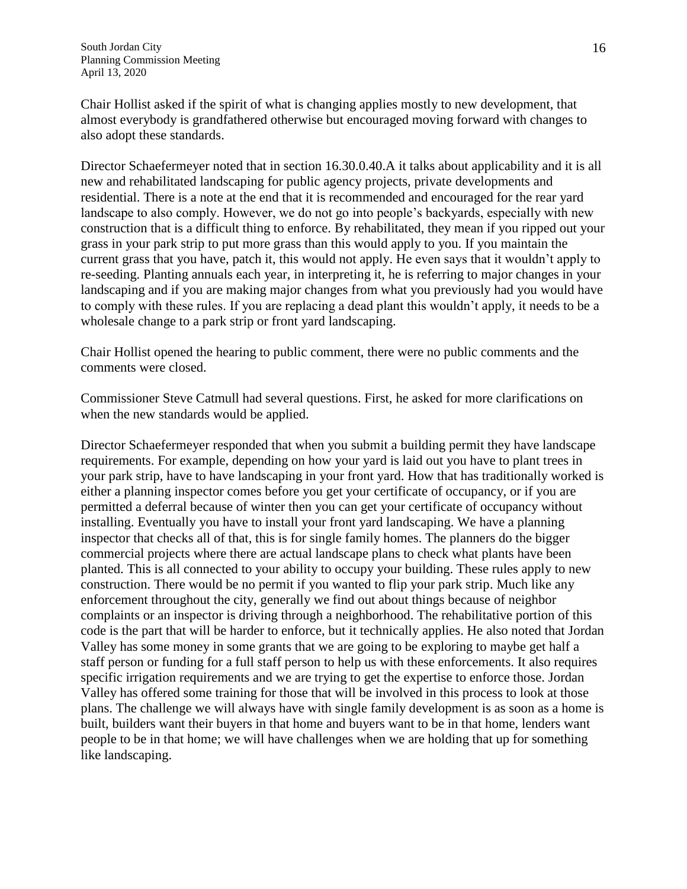Chair Hollist asked if the spirit of what is changing applies mostly to new development, that almost everybody is grandfathered otherwise but encouraged moving forward with changes to also adopt these standards.

Director Schaefermeyer noted that in section 16.30.0.40.A it talks about applicability and it is all new and rehabilitated landscaping for public agency projects, private developments and residential. There is a note at the end that it is recommended and encouraged for the rear yard landscape to also comply. However, we do not go into people's backyards, especially with new construction that is a difficult thing to enforce. By rehabilitated, they mean if you ripped out your grass in your park strip to put more grass than this would apply to you. If you maintain the current grass that you have, patch it, this would not apply. He even says that it wouldn't apply to re-seeding. Planting annuals each year, in interpreting it, he is referring to major changes in your landscaping and if you are making major changes from what you previously had you would have to comply with these rules. If you are replacing a dead plant this wouldn't apply, it needs to be a wholesale change to a park strip or front yard landscaping.

Chair Hollist opened the hearing to public comment, there were no public comments and the comments were closed.

Commissioner Steve Catmull had several questions. First, he asked for more clarifications on when the new standards would be applied.

Director Schaefermeyer responded that when you submit a building permit they have landscape requirements. For example, depending on how your yard is laid out you have to plant trees in your park strip, have to have landscaping in your front yard. How that has traditionally worked is either a planning inspector comes before you get your certificate of occupancy, or if you are permitted a deferral because of winter then you can get your certificate of occupancy without installing. Eventually you have to install your front yard landscaping. We have a planning inspector that checks all of that, this is for single family homes. The planners do the bigger commercial projects where there are actual landscape plans to check what plants have been planted. This is all connected to your ability to occupy your building. These rules apply to new construction. There would be no permit if you wanted to flip your park strip. Much like any enforcement throughout the city, generally we find out about things because of neighbor complaints or an inspector is driving through a neighborhood. The rehabilitative portion of this code is the part that will be harder to enforce, but it technically applies. He also noted that Jordan Valley has some money in some grants that we are going to be exploring to maybe get half a staff person or funding for a full staff person to help us with these enforcements. It also requires specific irrigation requirements and we are trying to get the expertise to enforce those. Jordan Valley has offered some training for those that will be involved in this process to look at those plans. The challenge we will always have with single family development is as soon as a home is built, builders want their buyers in that home and buyers want to be in that home, lenders want people to be in that home; we will have challenges when we are holding that up for something like landscaping.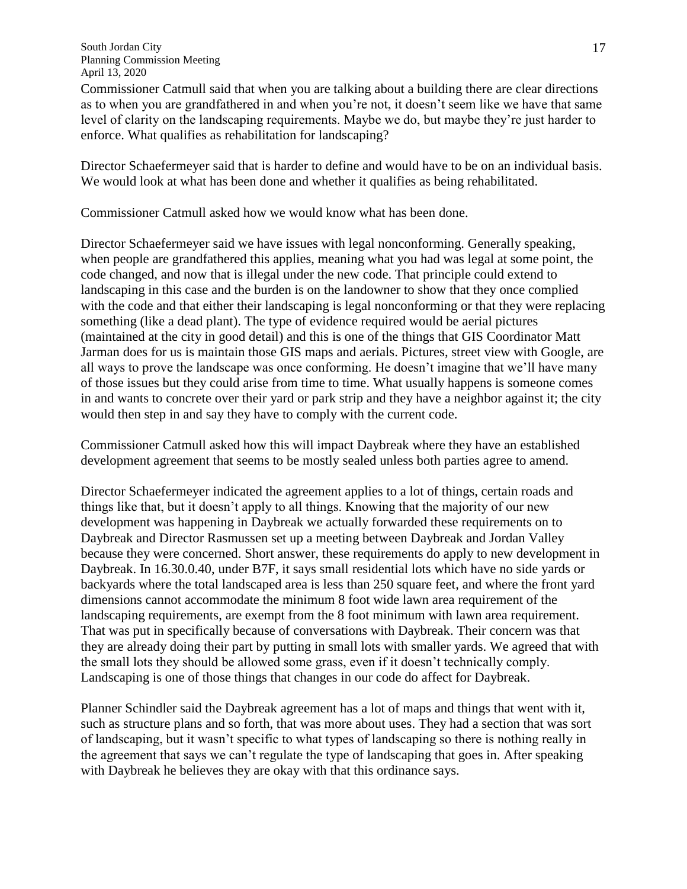Commissioner Catmull said that when you are talking about a building there are clear directions as to when you are grandfathered in and when you're not, it doesn't seem like we have that same level of clarity on the landscaping requirements. Maybe we do, but maybe they're just harder to enforce. What qualifies as rehabilitation for landscaping?

Director Schaefermeyer said that is harder to define and would have to be on an individual basis. We would look at what has been done and whether it qualifies as being rehabilitated.

Commissioner Catmull asked how we would know what has been done.

Director Schaefermeyer said we have issues with legal nonconforming. Generally speaking, when people are grandfathered this applies, meaning what you had was legal at some point, the code changed, and now that is illegal under the new code. That principle could extend to landscaping in this case and the burden is on the landowner to show that they once complied with the code and that either their landscaping is legal nonconforming or that they were replacing something (like a dead plant). The type of evidence required would be aerial pictures (maintained at the city in good detail) and this is one of the things that GIS Coordinator Matt Jarman does for us is maintain those GIS maps and aerials. Pictures, street view with Google, are all ways to prove the landscape was once conforming. He doesn't imagine that we'll have many of those issues but they could arise from time to time. What usually happens is someone comes in and wants to concrete over their yard or park strip and they have a neighbor against it; the city would then step in and say they have to comply with the current code.

Commissioner Catmull asked how this will impact Daybreak where they have an established development agreement that seems to be mostly sealed unless both parties agree to amend.

Director Schaefermeyer indicated the agreement applies to a lot of things, certain roads and things like that, but it doesn't apply to all things. Knowing that the majority of our new development was happening in Daybreak we actually forwarded these requirements on to Daybreak and Director Rasmussen set up a meeting between Daybreak and Jordan Valley because they were concerned. Short answer, these requirements do apply to new development in Daybreak. In 16.30.0.40, under B7F, it says small residential lots which have no side yards or backyards where the total landscaped area is less than 250 square feet, and where the front yard dimensions cannot accommodate the minimum 8 foot wide lawn area requirement of the landscaping requirements, are exempt from the 8 foot minimum with lawn area requirement. That was put in specifically because of conversations with Daybreak. Their concern was that they are already doing their part by putting in small lots with smaller yards. We agreed that with the small lots they should be allowed some grass, even if it doesn't technically comply. Landscaping is one of those things that changes in our code do affect for Daybreak.

Planner Schindler said the Daybreak agreement has a lot of maps and things that went with it, such as structure plans and so forth, that was more about uses. They had a section that was sort of landscaping, but it wasn't specific to what types of landscaping so there is nothing really in the agreement that says we can't regulate the type of landscaping that goes in. After speaking with Daybreak he believes they are okay with that this ordinance says.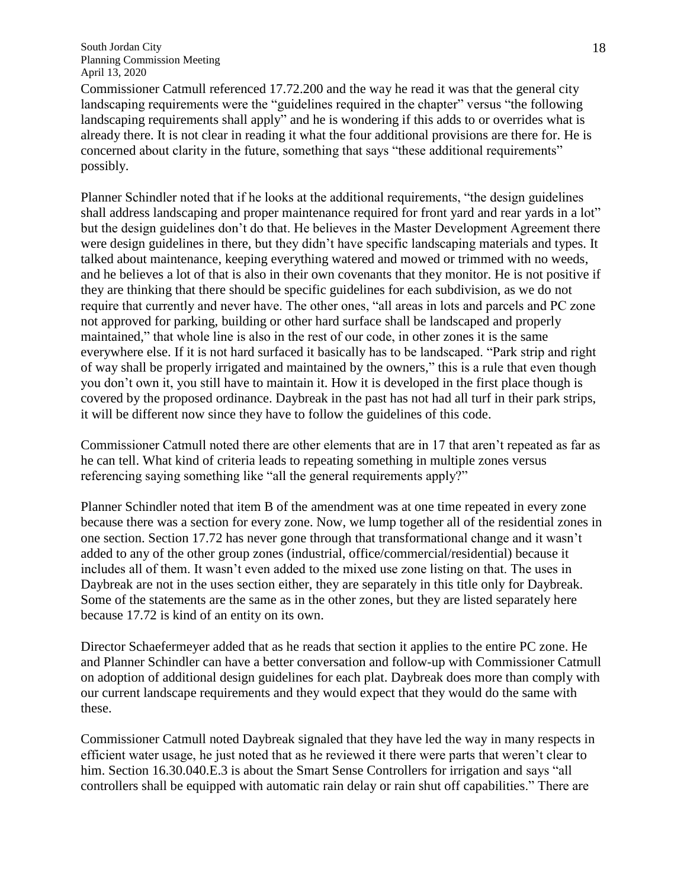Commissioner Catmull referenced 17.72.200 and the way he read it was that the general city landscaping requirements were the "guidelines required in the chapter" versus "the following landscaping requirements shall apply" and he is wondering if this adds to or overrides what is already there. It is not clear in reading it what the four additional provisions are there for. He is concerned about clarity in the future, something that says "these additional requirements" possibly.

Planner Schindler noted that if he looks at the additional requirements, "the design guidelines shall address landscaping and proper maintenance required for front yard and rear yards in a lot" but the design guidelines don't do that. He believes in the Master Development Agreement there were design guidelines in there, but they didn't have specific landscaping materials and types. It talked about maintenance, keeping everything watered and mowed or trimmed with no weeds, and he believes a lot of that is also in their own covenants that they monitor. He is not positive if they are thinking that there should be specific guidelines for each subdivision, as we do not require that currently and never have. The other ones, "all areas in lots and parcels and PC zone not approved for parking, building or other hard surface shall be landscaped and properly maintained," that whole line is also in the rest of our code, in other zones it is the same everywhere else. If it is not hard surfaced it basically has to be landscaped. "Park strip and right of way shall be properly irrigated and maintained by the owners," this is a rule that even though you don't own it, you still have to maintain it. How it is developed in the first place though is covered by the proposed ordinance. Daybreak in the past has not had all turf in their park strips, it will be different now since they have to follow the guidelines of this code.

Commissioner Catmull noted there are other elements that are in 17 that aren't repeated as far as he can tell. What kind of criteria leads to repeating something in multiple zones versus referencing saying something like "all the general requirements apply?"

Planner Schindler noted that item B of the amendment was at one time repeated in every zone because there was a section for every zone. Now, we lump together all of the residential zones in one section. Section 17.72 has never gone through that transformational change and it wasn't added to any of the other group zones (industrial, office/commercial/residential) because it includes all of them. It wasn't even added to the mixed use zone listing on that. The uses in Daybreak are not in the uses section either, they are separately in this title only for Daybreak. Some of the statements are the same as in the other zones, but they are listed separately here because 17.72 is kind of an entity on its own.

Director Schaefermeyer added that as he reads that section it applies to the entire PC zone. He and Planner Schindler can have a better conversation and follow-up with Commissioner Catmull on adoption of additional design guidelines for each plat. Daybreak does more than comply with our current landscape requirements and they would expect that they would do the same with these.

Commissioner Catmull noted Daybreak signaled that they have led the way in many respects in efficient water usage, he just noted that as he reviewed it there were parts that weren't clear to him. Section 16.30.040.E.3 is about the Smart Sense Controllers for irrigation and says "all controllers shall be equipped with automatic rain delay or rain shut off capabilities." There are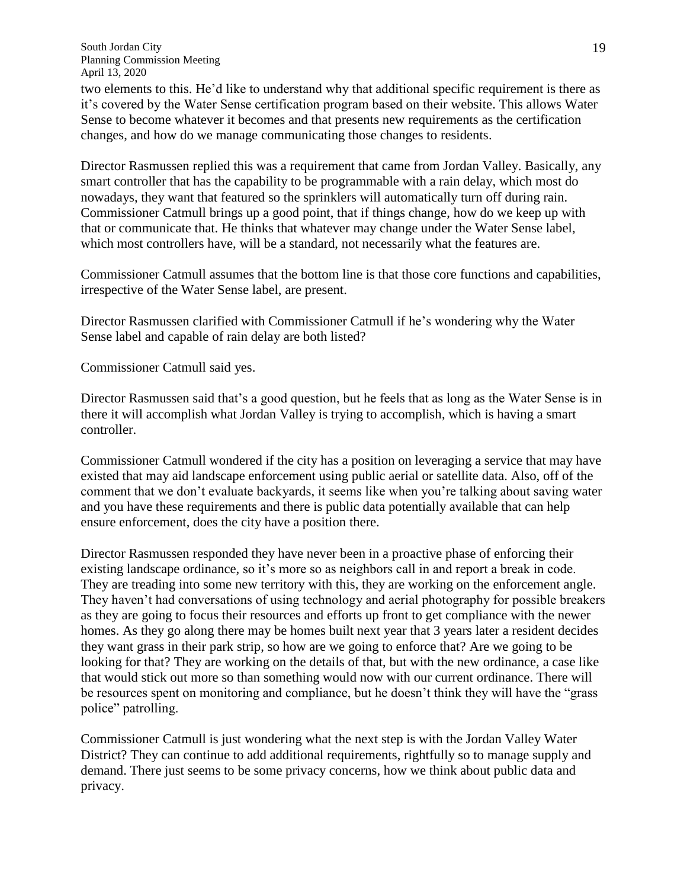two elements to this. He'd like to understand why that additional specific requirement is there as it's covered by the Water Sense certification program based on their website. This allows Water Sense to become whatever it becomes and that presents new requirements as the certification changes, and how do we manage communicating those changes to residents.

Director Rasmussen replied this was a requirement that came from Jordan Valley. Basically, any smart controller that has the capability to be programmable with a rain delay, which most do nowadays, they want that featured so the sprinklers will automatically turn off during rain. Commissioner Catmull brings up a good point, that if things change, how do we keep up with that or communicate that. He thinks that whatever may change under the Water Sense label, which most controllers have, will be a standard, not necessarily what the features are.

Commissioner Catmull assumes that the bottom line is that those core functions and capabilities, irrespective of the Water Sense label, are present.

Director Rasmussen clarified with Commissioner Catmull if he's wondering why the Water Sense label and capable of rain delay are both listed?

Commissioner Catmull said yes.

Director Rasmussen said that's a good question, but he feels that as long as the Water Sense is in there it will accomplish what Jordan Valley is trying to accomplish, which is having a smart controller.

Commissioner Catmull wondered if the city has a position on leveraging a service that may have existed that may aid landscape enforcement using public aerial or satellite data. Also, off of the comment that we don't evaluate backyards, it seems like when you're talking about saving water and you have these requirements and there is public data potentially available that can help ensure enforcement, does the city have a position there.

Director Rasmussen responded they have never been in a proactive phase of enforcing their existing landscape ordinance, so it's more so as neighbors call in and report a break in code. They are treading into some new territory with this, they are working on the enforcement angle. They haven't had conversations of using technology and aerial photography for possible breakers as they are going to focus their resources and efforts up front to get compliance with the newer homes. As they go along there may be homes built next year that 3 years later a resident decides they want grass in their park strip, so how are we going to enforce that? Are we going to be looking for that? They are working on the details of that, but with the new ordinance, a case like that would stick out more so than something would now with our current ordinance. There will be resources spent on monitoring and compliance, but he doesn't think they will have the "grass police" patrolling.

Commissioner Catmull is just wondering what the next step is with the Jordan Valley Water District? They can continue to add additional requirements, rightfully so to manage supply and demand. There just seems to be some privacy concerns, how we think about public data and privacy.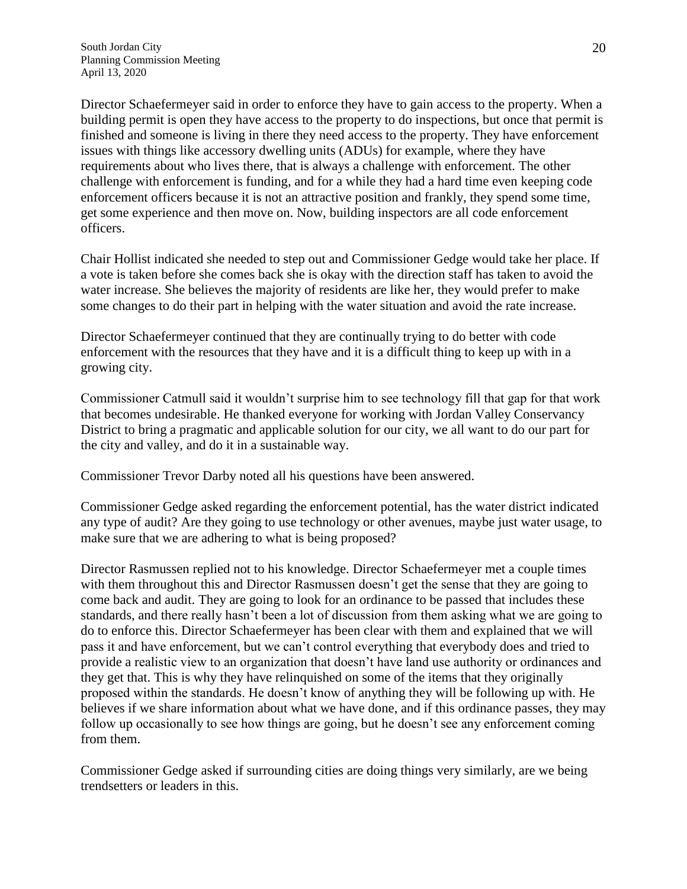Director Schaefermeyer said in order to enforce they have to gain access to the property. When a building permit is open they have access to the property to do inspections, but once that permit is finished and someone is living in there they need access to the property. They have enforcement issues with things like accessory dwelling units (ADUs) for example, where they have requirements about who lives there, that is always a challenge with enforcement. The other challenge with enforcement is funding, and for a while they had a hard time even keeping code enforcement officers because it is not an attractive position and frankly, they spend some time, get some experience and then move on. Now, building inspectors are all code enforcement officers.

Chair Hollist indicated she needed to step out and Commissioner Gedge would take her place. If a vote is taken before she comes back she is okay with the direction staff has taken to avoid the water increase. She believes the majority of residents are like her, they would prefer to make some changes to do their part in helping with the water situation and avoid the rate increase.

Director Schaefermeyer continued that they are continually trying to do better with code enforcement with the resources that they have and it is a difficult thing to keep up with in a growing city.

Commissioner Catmull said it wouldn't surprise him to see technology fill that gap for that work that becomes undesirable. He thanked everyone for working with Jordan Valley Conservancy District to bring a pragmatic and applicable solution for our city, we all want to do our part for the city and valley, and do it in a sustainable way.

Commissioner Trevor Darby noted all his questions have been answered.

Commissioner Gedge asked regarding the enforcement potential, has the water district indicated any type of audit? Are they going to use technology or other avenues, maybe just water usage, to make sure that we are adhering to what is being proposed?

Director Rasmussen replied not to his knowledge. Director Schaefermeyer met a couple times with them throughout this and Director Rasmussen doesn't get the sense that they are going to come back and audit. They are going to look for an ordinance to be passed that includes these standards, and there really hasn't been a lot of discussion from them asking what we are going to do to enforce this. Director Schaefermeyer has been clear with them and explained that we will pass it and have enforcement, but we can't control everything that everybody does and tried to provide a realistic view to an organization that doesn't have land use authority or ordinances and they get that. This is why they have relinquished on some of the items that they originally proposed within the standards. He doesn't know of anything they will be following up with. He believes if we share information about what we have done, and if this ordinance passes, they may follow up occasionally to see how things are going, but he doesn't see any enforcement coming from them.

Commissioner Gedge asked if surrounding cities are doing things very similarly, are we being trendsetters or leaders in this.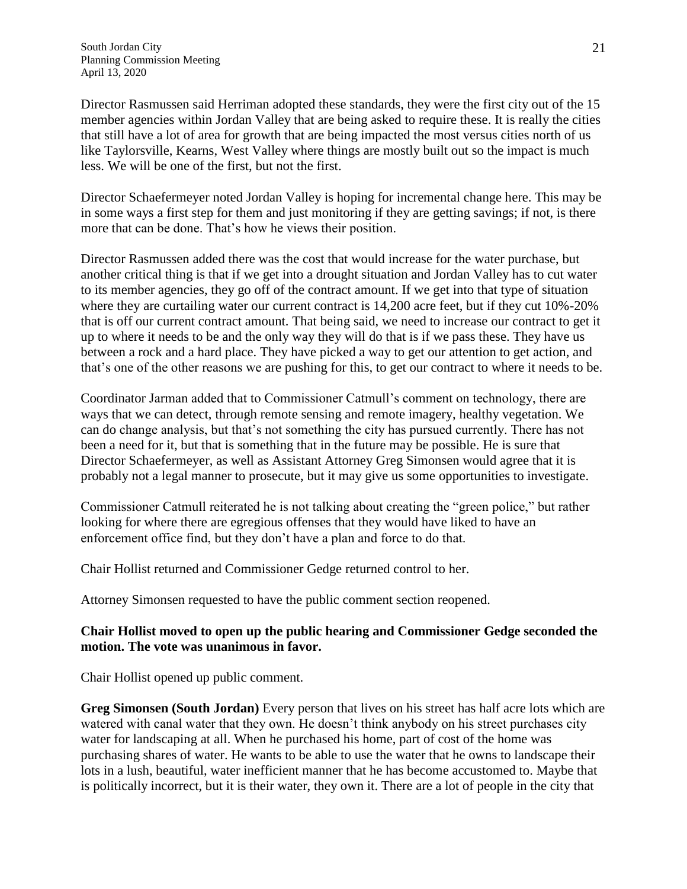Director Rasmussen said Herriman adopted these standards, they were the first city out of the 15 member agencies within Jordan Valley that are being asked to require these. It is really the cities that still have a lot of area for growth that are being impacted the most versus cities north of us like Taylorsville, Kearns, West Valley where things are mostly built out so the impact is much less. We will be one of the first, but not the first.

Director Schaefermeyer noted Jordan Valley is hoping for incremental change here. This may be in some ways a first step for them and just monitoring if they are getting savings; if not, is there more that can be done. That's how he views their position.

Director Rasmussen added there was the cost that would increase for the water purchase, but another critical thing is that if we get into a drought situation and Jordan Valley has to cut water to its member agencies, they go off of the contract amount. If we get into that type of situation where they are curtailing water our current contract is 14,200 acre feet, but if they cut 10%-20% that is off our current contract amount. That being said, we need to increase our contract to get it up to where it needs to be and the only way they will do that is if we pass these. They have us between a rock and a hard place. They have picked a way to get our attention to get action, and that's one of the other reasons we are pushing for this, to get our contract to where it needs to be.

Coordinator Jarman added that to Commissioner Catmull's comment on technology, there are ways that we can detect, through remote sensing and remote imagery, healthy vegetation. We can do change analysis, but that's not something the city has pursued currently. There has not been a need for it, but that is something that in the future may be possible. He is sure that Director Schaefermeyer, as well as Assistant Attorney Greg Simonsen would agree that it is probably not a legal manner to prosecute, but it may give us some opportunities to investigate.

Commissioner Catmull reiterated he is not talking about creating the "green police," but rather looking for where there are egregious offenses that they would have liked to have an enforcement office find, but they don't have a plan and force to do that.

Chair Hollist returned and Commissioner Gedge returned control to her.

Attorney Simonsen requested to have the public comment section reopened.

### **Chair Hollist moved to open up the public hearing and Commissioner Gedge seconded the motion. The vote was unanimous in favor.**

Chair Hollist opened up public comment.

**Greg Simonsen (South Jordan)** Every person that lives on his street has half acre lots which are watered with canal water that they own. He doesn't think anybody on his street purchases city water for landscaping at all. When he purchased his home, part of cost of the home was purchasing shares of water. He wants to be able to use the water that he owns to landscape their lots in a lush, beautiful, water inefficient manner that he has become accustomed to. Maybe that is politically incorrect, but it is their water, they own it. There are a lot of people in the city that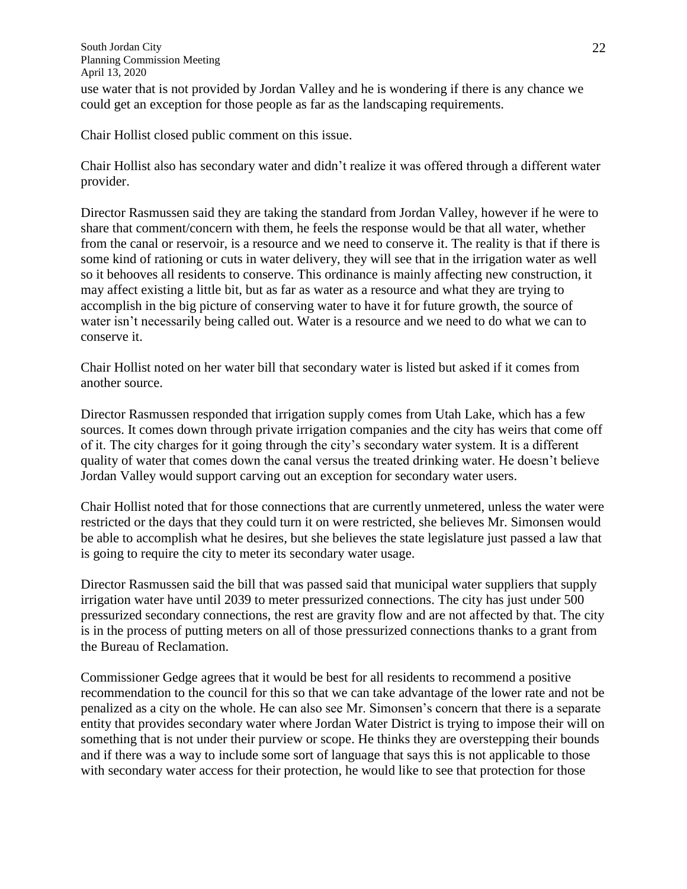use water that is not provided by Jordan Valley and he is wondering if there is any chance we could get an exception for those people as far as the landscaping requirements.

Chair Hollist closed public comment on this issue.

Chair Hollist also has secondary water and didn't realize it was offered through a different water provider.

Director Rasmussen said they are taking the standard from Jordan Valley, however if he were to share that comment/concern with them, he feels the response would be that all water, whether from the canal or reservoir, is a resource and we need to conserve it. The reality is that if there is some kind of rationing or cuts in water delivery, they will see that in the irrigation water as well so it behooves all residents to conserve. This ordinance is mainly affecting new construction, it may affect existing a little bit, but as far as water as a resource and what they are trying to accomplish in the big picture of conserving water to have it for future growth, the source of water isn't necessarily being called out. Water is a resource and we need to do what we can to conserve it.

Chair Hollist noted on her water bill that secondary water is listed but asked if it comes from another source.

Director Rasmussen responded that irrigation supply comes from Utah Lake, which has a few sources. It comes down through private irrigation companies and the city has weirs that come off of it. The city charges for it going through the city's secondary water system. It is a different quality of water that comes down the canal versus the treated drinking water. He doesn't believe Jordan Valley would support carving out an exception for secondary water users.

Chair Hollist noted that for those connections that are currently unmetered, unless the water were restricted or the days that they could turn it on were restricted, she believes Mr. Simonsen would be able to accomplish what he desires, but she believes the state legislature just passed a law that is going to require the city to meter its secondary water usage.

Director Rasmussen said the bill that was passed said that municipal water suppliers that supply irrigation water have until 2039 to meter pressurized connections. The city has just under 500 pressurized secondary connections, the rest are gravity flow and are not affected by that. The city is in the process of putting meters on all of those pressurized connections thanks to a grant from the Bureau of Reclamation.

Commissioner Gedge agrees that it would be best for all residents to recommend a positive recommendation to the council for this so that we can take advantage of the lower rate and not be penalized as a city on the whole. He can also see Mr. Simonsen's concern that there is a separate entity that provides secondary water where Jordan Water District is trying to impose their will on something that is not under their purview or scope. He thinks they are overstepping their bounds and if there was a way to include some sort of language that says this is not applicable to those with secondary water access for their protection, he would like to see that protection for those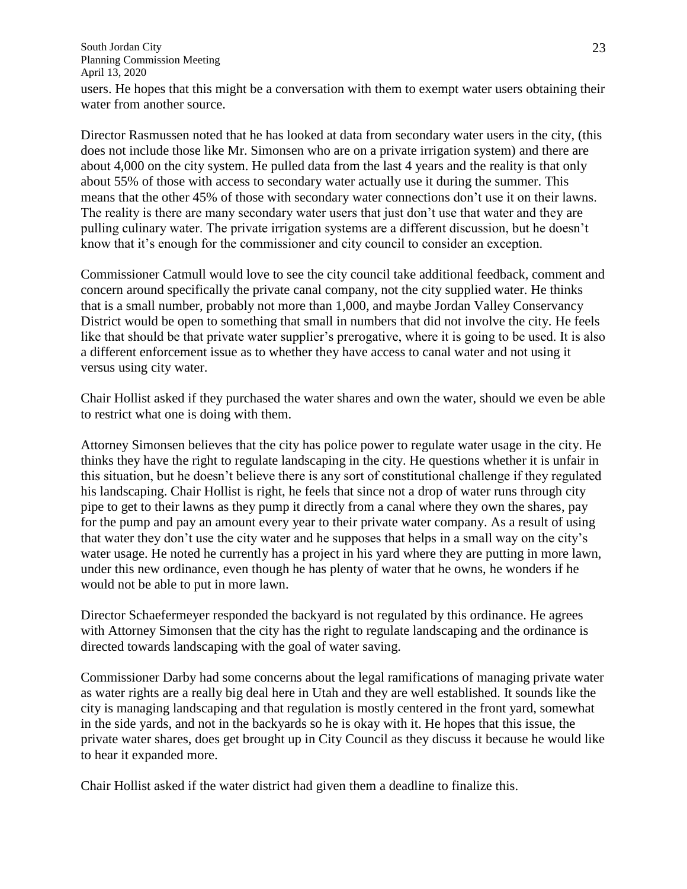users. He hopes that this might be a conversation with them to exempt water users obtaining their water from another source.

Director Rasmussen noted that he has looked at data from secondary water users in the city, (this does not include those like Mr. Simonsen who are on a private irrigation system) and there are about 4,000 on the city system. He pulled data from the last 4 years and the reality is that only about 55% of those with access to secondary water actually use it during the summer. This means that the other 45% of those with secondary water connections don't use it on their lawns. The reality is there are many secondary water users that just don't use that water and they are pulling culinary water. The private irrigation systems are a different discussion, but he doesn't know that it's enough for the commissioner and city council to consider an exception.

Commissioner Catmull would love to see the city council take additional feedback, comment and concern around specifically the private canal company, not the city supplied water. He thinks that is a small number, probably not more than 1,000, and maybe Jordan Valley Conservancy District would be open to something that small in numbers that did not involve the city. He feels like that should be that private water supplier's prerogative, where it is going to be used. It is also a different enforcement issue as to whether they have access to canal water and not using it versus using city water.

Chair Hollist asked if they purchased the water shares and own the water, should we even be able to restrict what one is doing with them.

Attorney Simonsen believes that the city has police power to regulate water usage in the city. He thinks they have the right to regulate landscaping in the city. He questions whether it is unfair in this situation, but he doesn't believe there is any sort of constitutional challenge if they regulated his landscaping. Chair Hollist is right, he feels that since not a drop of water runs through city pipe to get to their lawns as they pump it directly from a canal where they own the shares, pay for the pump and pay an amount every year to their private water company. As a result of using that water they don't use the city water and he supposes that helps in a small way on the city's water usage. He noted he currently has a project in his yard where they are putting in more lawn, under this new ordinance, even though he has plenty of water that he owns, he wonders if he would not be able to put in more lawn.

Director Schaefermeyer responded the backyard is not regulated by this ordinance. He agrees with Attorney Simonsen that the city has the right to regulate landscaping and the ordinance is directed towards landscaping with the goal of water saving.

Commissioner Darby had some concerns about the legal ramifications of managing private water as water rights are a really big deal here in Utah and they are well established. It sounds like the city is managing landscaping and that regulation is mostly centered in the front yard, somewhat in the side yards, and not in the backyards so he is okay with it. He hopes that this issue, the private water shares, does get brought up in City Council as they discuss it because he would like to hear it expanded more.

Chair Hollist asked if the water district had given them a deadline to finalize this.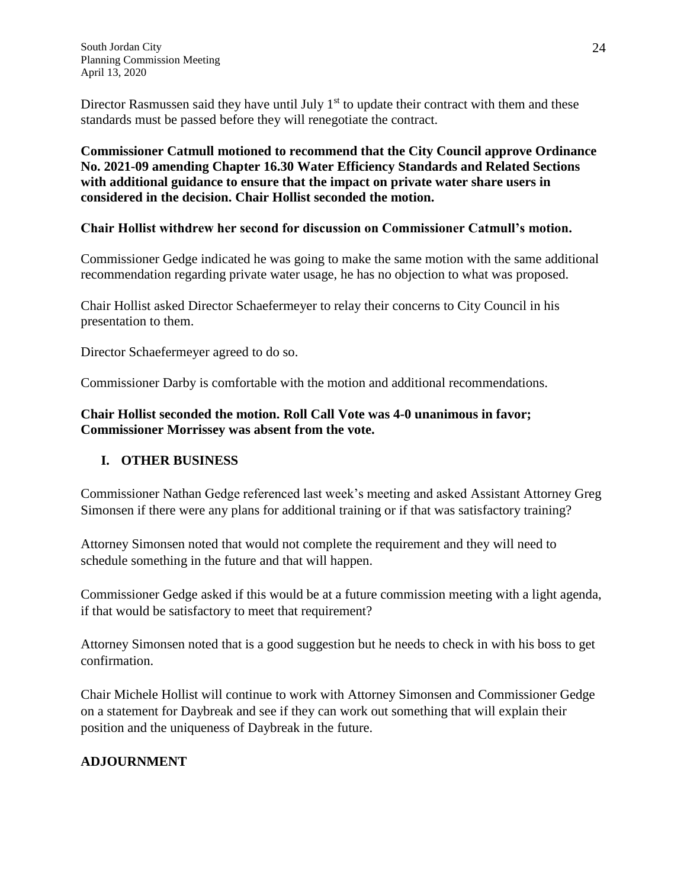Director Rasmussen said they have until July  $1<sup>st</sup>$  to update their contract with them and these standards must be passed before they will renegotiate the contract.

**Commissioner Catmull motioned to recommend that the City Council approve Ordinance No. 2021-09 amending Chapter 16.30 Water Efficiency Standards and Related Sections with additional guidance to ensure that the impact on private water share users in considered in the decision. Chair Hollist seconded the motion.**

# **Chair Hollist withdrew her second for discussion on Commissioner Catmull's motion.**

Commissioner Gedge indicated he was going to make the same motion with the same additional recommendation regarding private water usage, he has no objection to what was proposed.

Chair Hollist asked Director Schaefermeyer to relay their concerns to City Council in his presentation to them.

Director Schaefermeyer agreed to do so.

Commissioner Darby is comfortable with the motion and additional recommendations.

# **Chair Hollist seconded the motion. Roll Call Vote was 4-0 unanimous in favor; Commissioner Morrissey was absent from the vote.**

# **I. OTHER BUSINESS**

Commissioner Nathan Gedge referenced last week's meeting and asked Assistant Attorney Greg Simonsen if there were any plans for additional training or if that was satisfactory training?

Attorney Simonsen noted that would not complete the requirement and they will need to schedule something in the future and that will happen.

Commissioner Gedge asked if this would be at a future commission meeting with a light agenda, if that would be satisfactory to meet that requirement?

Attorney Simonsen noted that is a good suggestion but he needs to check in with his boss to get confirmation.

Chair Michele Hollist will continue to work with Attorney Simonsen and Commissioner Gedge on a statement for Daybreak and see if they can work out something that will explain their position and the uniqueness of Daybreak in the future.

# **ADJOURNMENT**